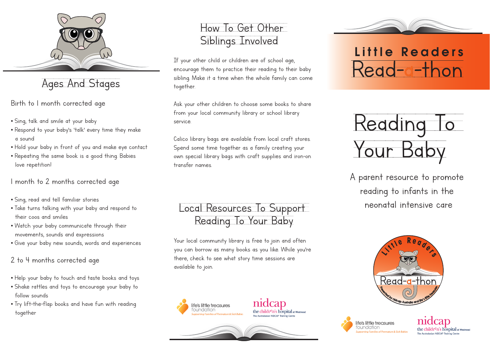

#### Ages And Stages

Birth to 1 month corrected age

- Sing, talk and smile at your baby
- Respond to your baby's 'talk' every time they make a sound
- Hold your baby in front of you and make eye contact
- Repeating the same book is a good thing. Babies love repetition!

1 month to 2 months corrected age

- Sing, read and tell familiar stories
- Take turns talking with your baby and respond to their coos and smiles
- Watch your baby communicate through their movements, sounds and expressions
- Give your baby new sounds, words and experiences

2 to 4 months corrected age

- Help your baby to touch and taste books and toys
- Shake rattles and toys to encourage your baby to follow sounds
- Try lift-the-flap books and have fun with reading together

#### How To Get Other Siblings Involved

If your other child or children are of school age, encourage them to practice their reading to their baby sibling. Make it a time when the whole family can come together.

Ask your other children to choose some books to share from your local community library or school library service.

Calico library bags are available from local craft stores. Spend some time together as a family creating your own special library bags with craft supplies and iron-on transfer names.

Local Resources To Support neonatal intensive care Reading To Your Baby

Your local community library is free to join and often you can borrow as many books as you like. While you're there, check to see what story time sessions are available to join.









# Little Readers Read-a-thon



A parent resource to promote reading to infants in the